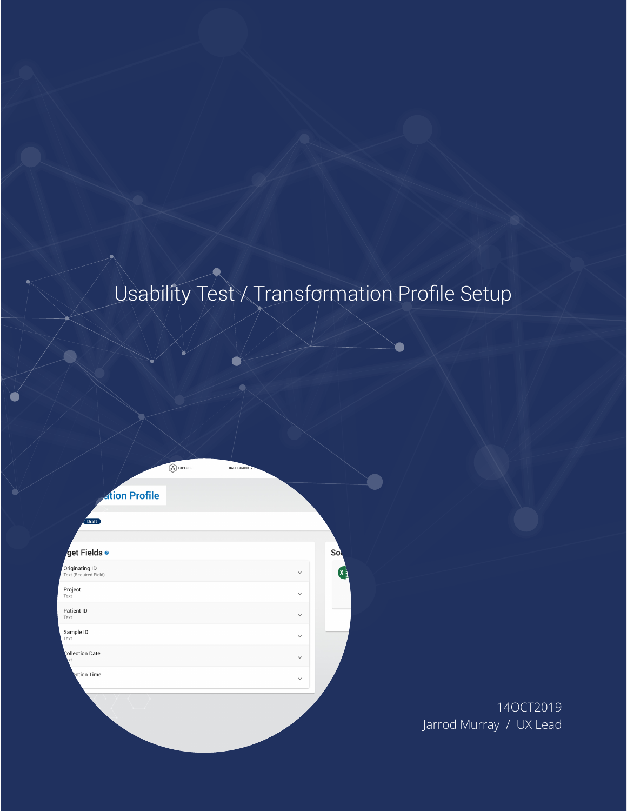# Usability Test / Transformation Profile Setup

| <b>Ation Profile</b>                    |              |                 |
|-----------------------------------------|--------------|-----------------|
| Draft                                   |              |                 |
| ⁄get Fields ●                           |              | Sol             |
| Originating ID<br>Text (Required Field) | $\checkmark$ | (x <sub>≟</sub> |
| Project<br>Text                         | $\checkmark$ |                 |
| Patient ID<br>Text                      | $\checkmark$ |                 |
| Sample ID<br>Text                       | $\checkmark$ |                 |
| Collection Date<br><b>kxt</b>           | $\checkmark$ |                 |
| <b>Rction Time</b>                      | $\checkmark$ |                 |
|                                         |              |                 |

 $\odot$  EXPLORE

14OCT2019 Jarrod Murray / UX Lead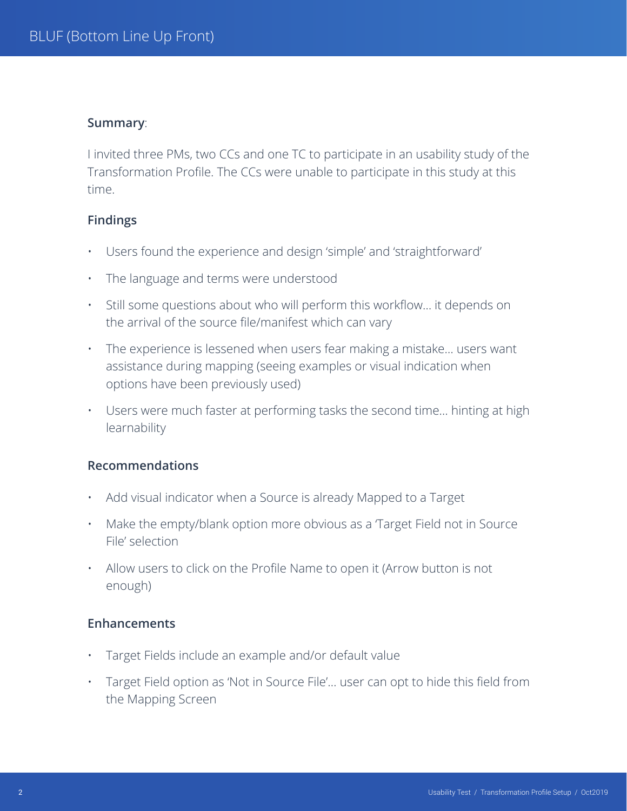#### **Summary**:

I invited three PMs, two CCs and one TC to participate in an usability study of the Transformation Profile. The CCs were unable to participate in this study at this time.

## **Findings**

- Users found the experience and design 'simple' and 'straightforward'
- The language and terms were understood
- Still some questions about who will perform this workflow… it depends on the arrival of the source file/manifest which can vary
- The experience is lessened when users fear making a mistake… users want assistance during mapping (seeing examples or visual indication when options have been previously used)
- Users were much faster at performing tasks the second time… hinting at high learnability

## **Recommendations**

- Add visual indicator when a Source is already Mapped to a Target
- Make the empty/blank option more obvious as a Target Field not in Source File' selection
- Allow users to click on the Profile Name to open it (Arrow button is not enough)

## **Enhancements**

- Target Fields include an example and/or default value
- Target Field option as 'Not in Source File'… user can opt to hide this field from the Mapping Screen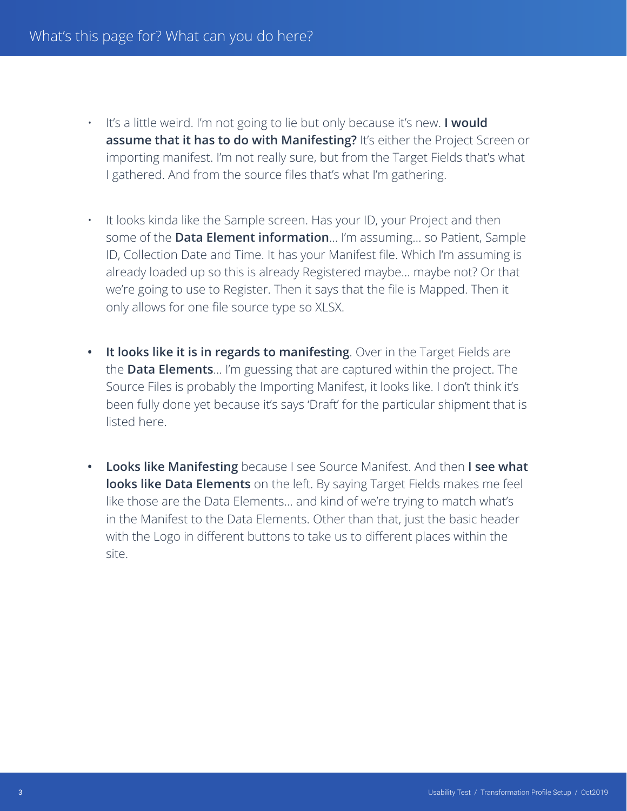- It's a little weird. I'm not going to lie but only because it's new. **I would assume that it has to do with Manifesting?** It's either the Project Screen or importing manifest. I'm not really sure, but from the Target Fields that's what I gathered. And from the source files that's what I'm gathering.
	- It looks kinda like the Sample screen. Has your ID, your Project and then some of the **Data Element information**… I'm assuming… so Patient, Sample ID, Collection Date and Time. It has your Manifest file. Which I'm assuming is already loaded up so this is already Registered maybe… maybe not? Or that we're going to use to Register. Then it says that the file is Mapped. Then it only allows for one file source type so XLSX.
- **• It looks like it is in regards to manifesting**. Over in the Target Fields are the **Data Elements**… I'm guessing that are captured within the project. The Source Files is probably the Importing Manifest, it looks like. I don't think it's been fully done yet because it's says 'Draft' for the particular shipment that is listed here.
- **• Looks like Manifesting** because I see Source Manifest. And then **I see what looks like Data Elements** on the left. By saying Target Fields makes me feel like those are the Data Elements… and kind of we're trying to match what's in the Manifest to the Data Elements. Other than that, just the basic header with the Logo in different buttons to take us to different places within the site.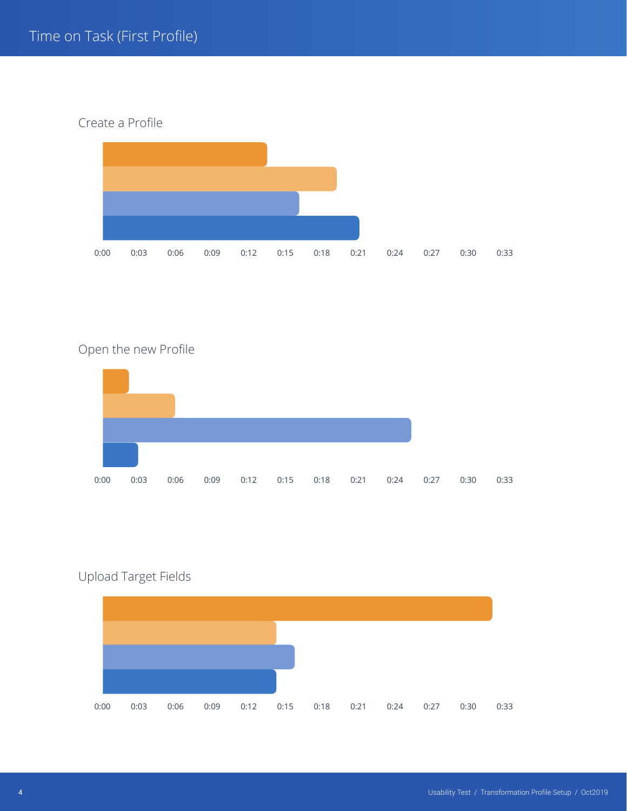Create a Profile



# Open the new Profile



# Upload Target Fields

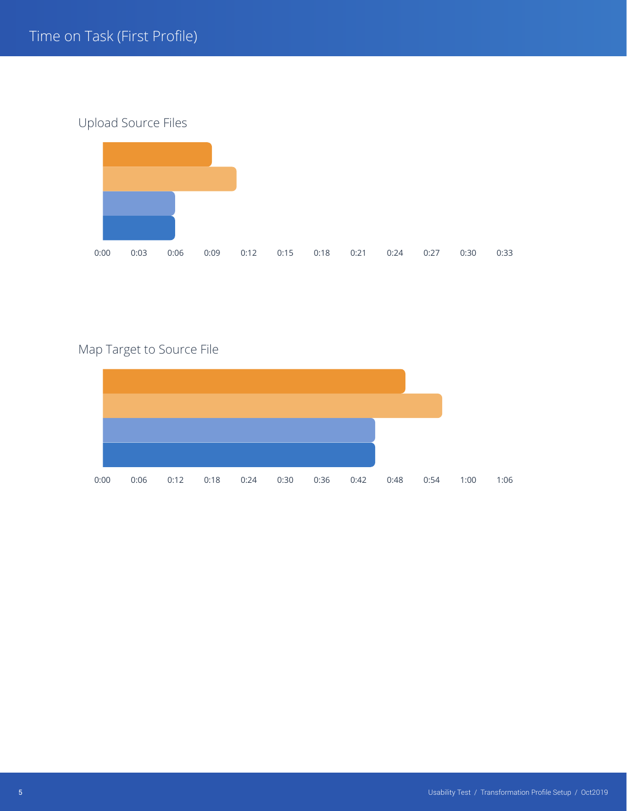Upload Source Files



# Map Target to Source File

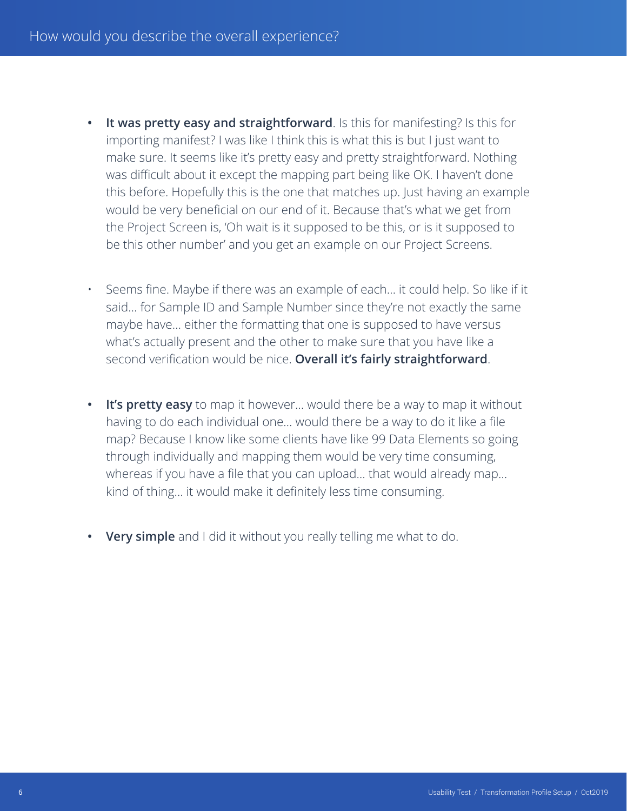- **• It was pretty easy and straightforward**. Is this for manifesting? Is this for importing manifest? I was like I think this is what this is but I just want to make sure. It seems like it's pretty easy and pretty straightforward. Nothing was difficult about it except the mapping part being like OK. I haven't done this before. Hopefully this is the one that matches up. Just having an example would be very beneficial on our end of it. Because that's what we get from the Project Screen is, 'Oh wait is it supposed to be this, or is it supposed to be this other number' and you get an example on our Project Screens.
- Seems fine. Maybe if there was an example of each… it could help. So like if it said… for Sample ID and Sample Number since they're not exactly the same maybe have… either the formatting that one is supposed to have versus what's actually present and the other to make sure that you have like a second verification would be nice. **Overall it's fairly straightforward**.
- **• It's pretty easy** to map it however… would there be a way to map it without having to do each individual one… would there be a way to do it like a file map? Because I know like some clients have like 99 Data Elements so going through individually and mapping them would be very time consuming, whereas if you have a file that you can upload… that would already map… kind of thing… it would make it definitely less time consuming.
- **• Very simple** and I did it without you really telling me what to do.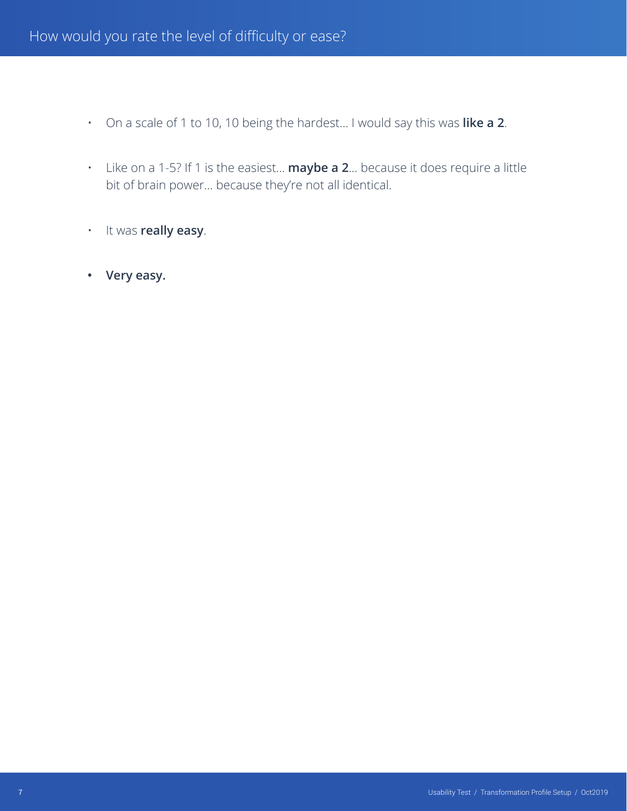- On a scale of 1 to 10, 10 being the hardest… I would say this was **like a 2**.
- Like on a 1-5? If 1 is the easiest… **maybe a 2**… because it does require a little bit of brain power… because they're not all identical.
- It was **really easy**.
- **• Very easy.**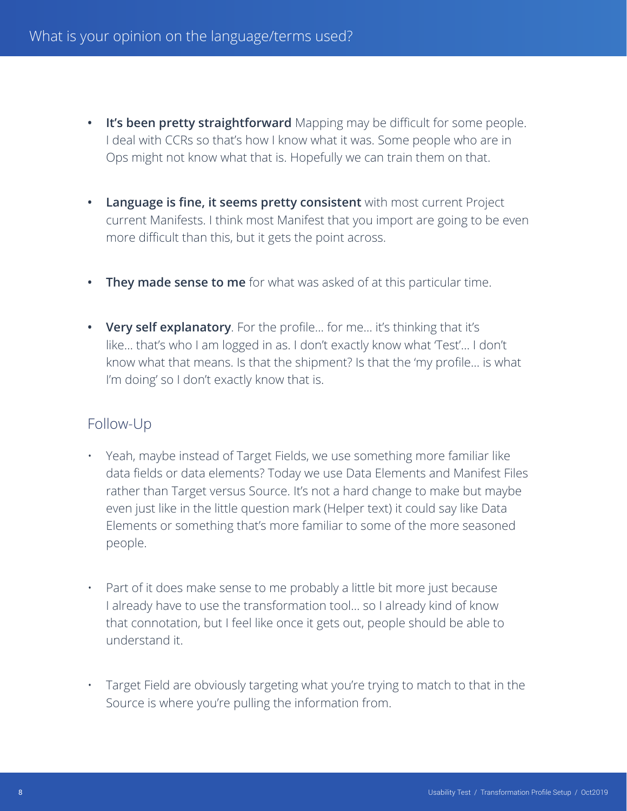- **• It's been pretty straightforward** Mapping may be difficult for some people. I deal with CCRs so that's how I know what it was. Some people who are in Ops might not know what that is. Hopefully we can train them on that.
- **• Language is fine, it seems pretty consistent** with most current Project current Manifests. I think most Manifest that you import are going to be even more difficult than this, but it gets the point across.
- **• They made sense to me** for what was asked of at this particular time.
- **• Very self explanatory**. For the profile… for me… it's thinking that it's like… that's who I am logged in as. I don't exactly know what 'Test'… I don't know what that means. Is that the shipment? Is that the 'my profile… is what I'm doing' so I don't exactly know that is.

- Yeah, maybe instead of Target Fields, we use something more familiar like data fields or data elements? Today we use Data Elements and Manifest Files rather than Target versus Source. It's not a hard change to make but maybe even just like in the little question mark (Helper text) it could say like Data Elements or something that's more familiar to some of the more seasoned people.
- Part of it does make sense to me probably a little bit more just because I already have to use the transformation tool… so I already kind of know that connotation, but I feel like once it gets out, people should be able to understand it.
- Target Field are obviously targeting what you're trying to match to that in the Source is where you're pulling the information from.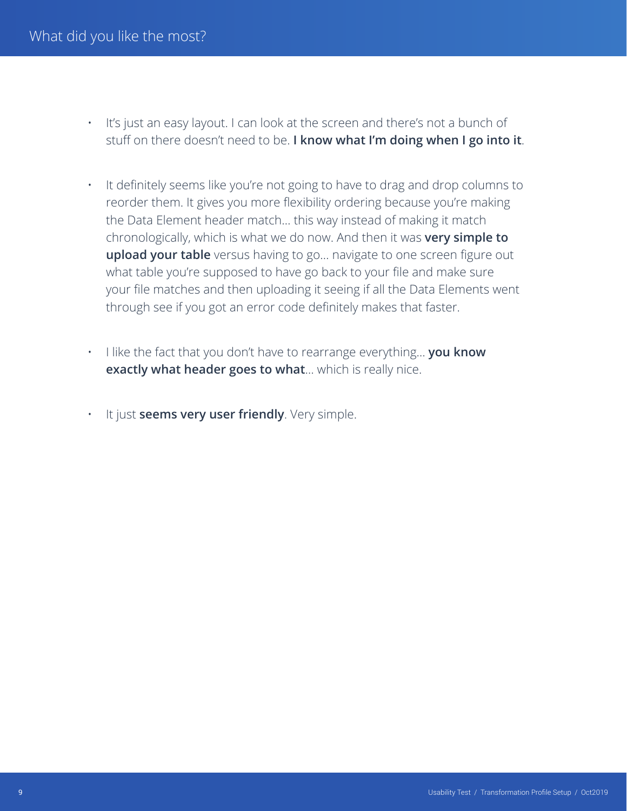- It's just an easy layout. I can look at the screen and there's not a bunch of stuff on there doesn't need to be. **I know what I'm doing when I go into it**.
- It definitely seems like you're not going to have to drag and drop columns to reorder them. It gives you more flexibility ordering because you're making the Data Element header match… this way instead of making it match chronologically, which is what we do now. And then it was **very simple to upload your table** versus having to go… navigate to one screen figure out what table you're supposed to have go back to your file and make sure your file matches and then uploading it seeing if all the Data Elements went through see if you got an error code definitely makes that faster.
- I like the fact that you don't have to rearrange everything… **you know exactly what header goes to what**… which is really nice.
	- It just **seems very user friendly**. Very simple.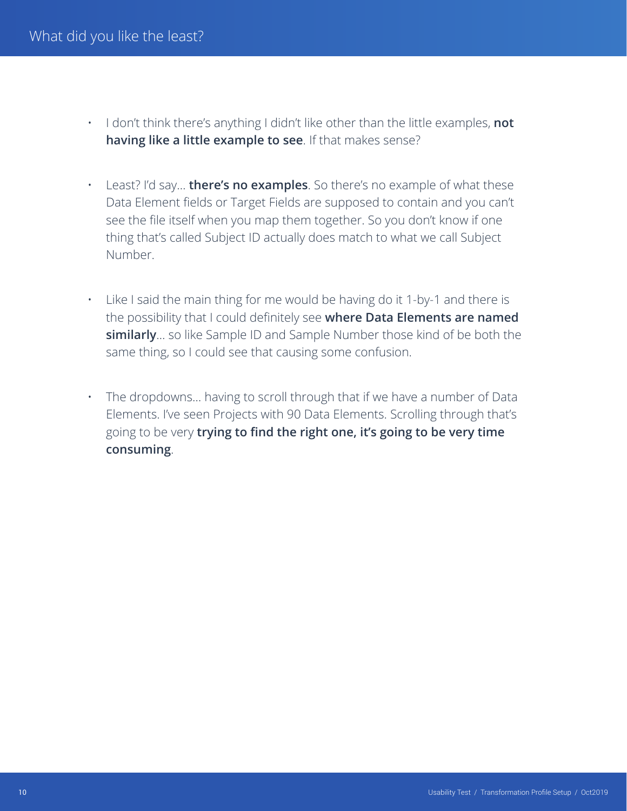- I don't think there's anything I didn't like other than the little examples, **not having like a little example to see**. If that makes sense?
- Least? I'd say… **there's no examples**. So there's no example of what these Data Element fields or Target Fields are supposed to contain and you can't see the file itself when you map them together. So you don't know if one thing that's called Subject ID actually does match to what we call Subject Number.
- Like I said the main thing for me would be having do it 1-by-1 and there is the possibility that I could definitely see **where Data Elements are named similarly**… so like Sample ID and Sample Number those kind of be both the same thing, so I could see that causing some confusion.
- The dropdowns... having to scroll through that if we have a number of Data Elements. I've seen Projects with 90 Data Elements. Scrolling through that's going to be very **trying to find the right one, it's going to be very time consuming**.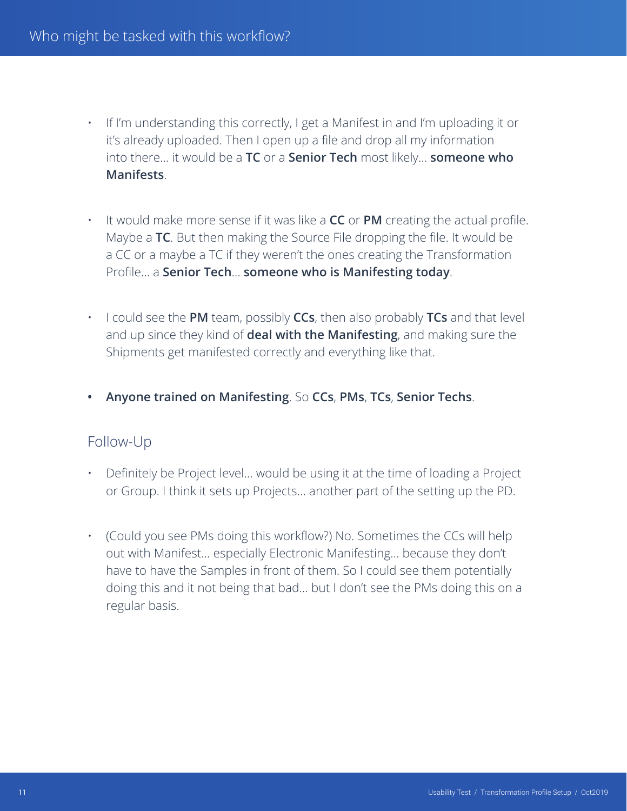- If I'm understanding this correctly, I get a Manifest in and I'm uploading it or it's already uploaded. Then I open up a file and drop all my information into there… it would be a **TC** or a **Senior Tech** most likely… **someone who Manifests**.
- It would make more sense if it was like a **CC** or **PM** creating the actual profile. Maybe a **TC**. But then making the Source File dropping the file. It would be a CC or a maybe a TC if they weren't the ones creating the Transformation Profile… a **Senior Tech**… **someone who is Manifesting today**.
- I could see the **PM** team, possibly **CCs**, then also probably **TCs** and that level and up since they kind of **deal with the Manifesting**, and making sure the Shipments get manifested correctly and everything like that.
- **• Anyone trained on Manifesting**. So **CCs**, **PMs**, **TCs**, **Senior Techs**.

- Definitely be Project level… would be using it at the time of loading a Project or Group. I think it sets up Projects… another part of the setting up the PD.
- (Could you see PMs doing this workflow?) No. Sometimes the CCs will help out with Manifest… especially Electronic Manifesting… because they don't have to have the Samples in front of them. So I could see them potentially doing this and it not being that bad… but I don't see the PMs doing this on a regular basis.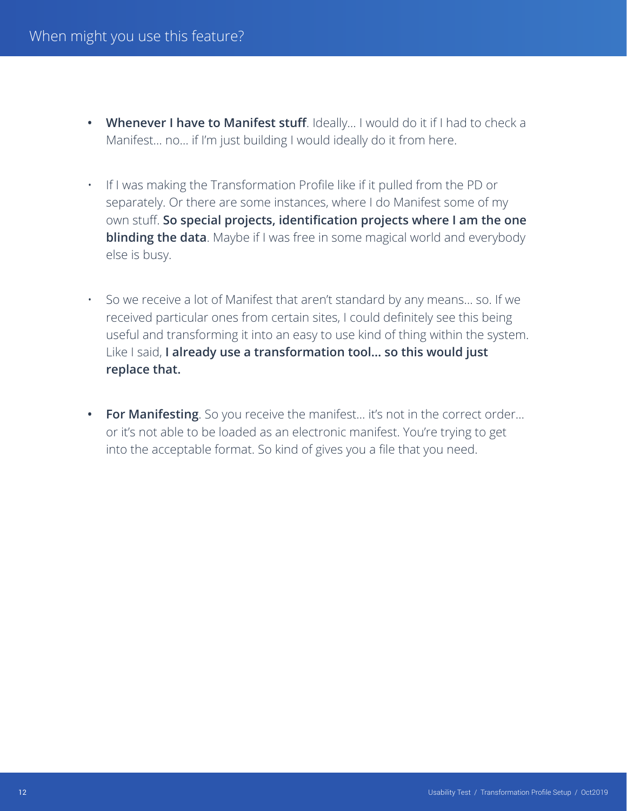- **• Whenever I have to Manifest stuff**. Ideally… I would do it if I had to check a Manifest… no… if I'm just building I would ideally do it from here.
- If I was making the Transformation Profile like if it pulled from the PD or separately. Or there are some instances, where I do Manifest some of my own stuff. **So special projects, identification projects where I am the one blinding the data**. Maybe if I was free in some magical world and everybody else is busy.
- So we receive a lot of Manifest that aren't standard by any means… so. If we received particular ones from certain sites, I could definitely see this being useful and transforming it into an easy to use kind of thing within the system. Like I said, **I already use a transformation tool… so this would just replace that.**
- **• For Manifesting**. So you receive the manifest… it's not in the correct order… or it's not able to be loaded as an electronic manifest. You're trying to get into the acceptable format. So kind of gives you a file that you need.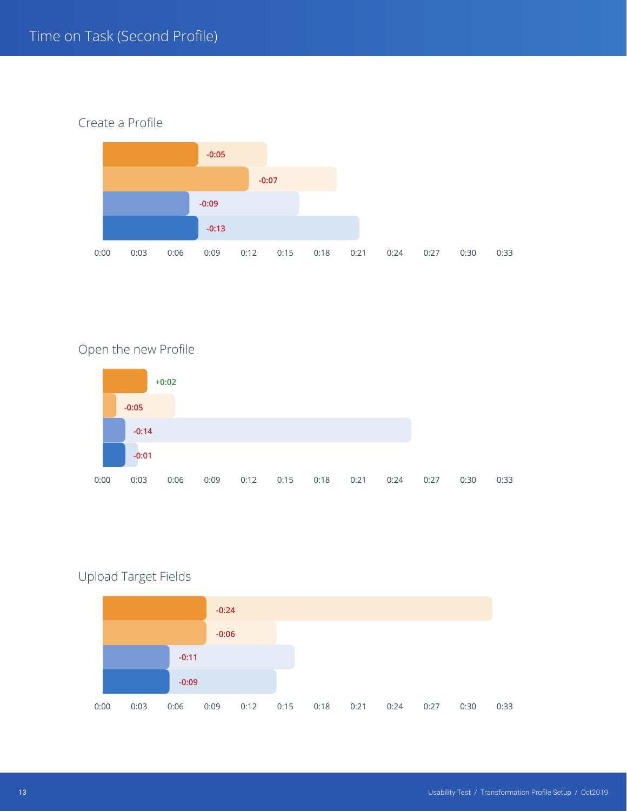Create a Profile



# Open the new Profile



# Upload Target Fields

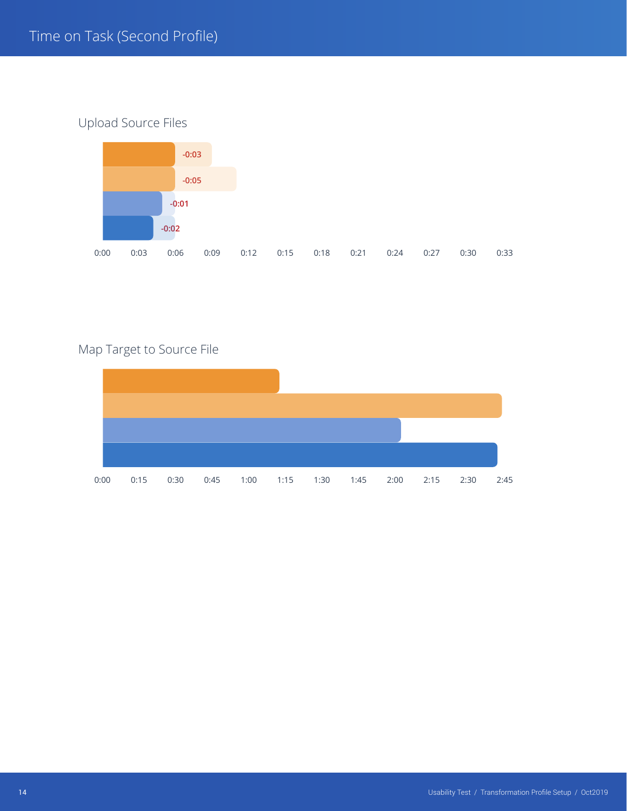# Upload Source Files



# Map Target to Source File

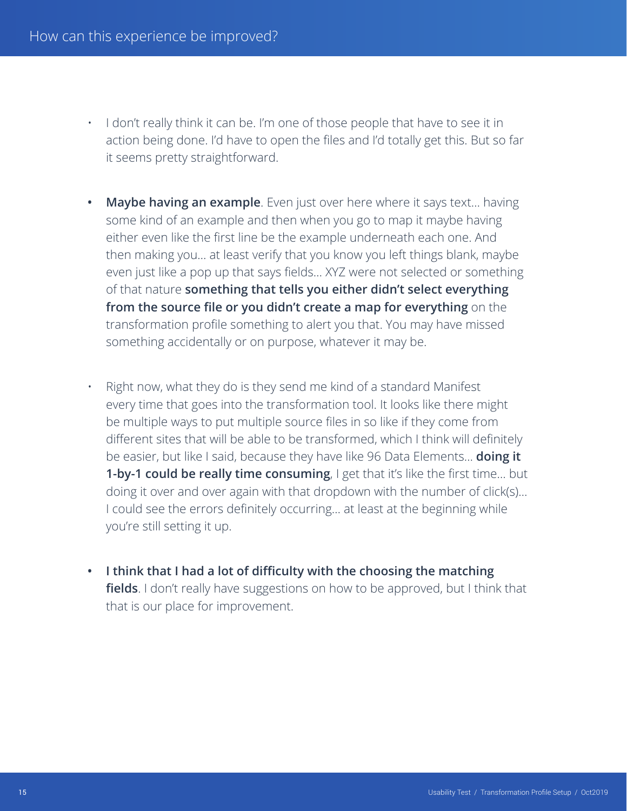- I don't really think it can be. I'm one of those people that have to see it in action being done. I'd have to open the files and I'd totally get this. But so far it seems pretty straightforward.
- **• Maybe having an example**. Even just over here where it says text… having some kind of an example and then when you go to map it maybe having either even like the first line be the example underneath each one. And then making you… at least verify that you know you left things blank, maybe even just like a pop up that says fields… XYZ were not selected or something of that nature **something that tells you either didn't select everything from the source file or you didn't create a map for everything** on the transformation profile something to alert you that. You may have missed something accidentally or on purpose, whatever it may be.
	- Right now, what they do is they send me kind of a standard Manifest every time that goes into the transformation tool. It looks like there might be multiple ways to put multiple source files in so like if they come from different sites that will be able to be transformed, which I think will definitely be easier, but like I said, because they have like 96 Data Elements… **doing it 1-by-1 could be really time consuming**, I get that it's like the first time... but doing it over and over again with that dropdown with the number of click(s)… I could see the errors definitely occurring… at least at the beginning while you're still setting it up.
- **• I think that I had a lot of difficulty with the choosing the matching fields**. I don't really have suggestions on how to be approved, but I think that that is our place for improvement.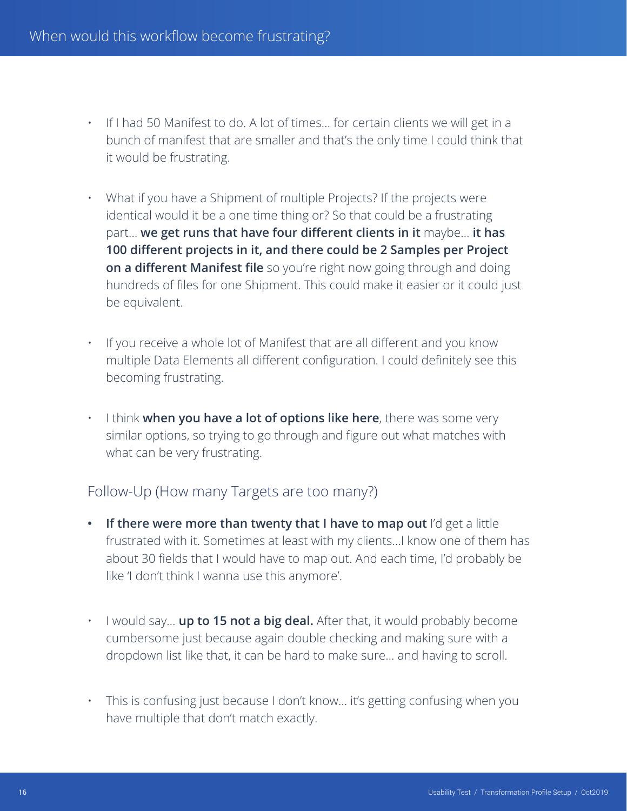- If I had 50 Manifest to do. A lot of times… for certain clients we will get in a bunch of manifest that are smaller and that's the only time I could think that it would be frustrating.
- What if you have a Shipment of multiple Projects? If the projects were identical would it be a one time thing or? So that could be a frustrating part… **we get runs that have four different clients in it** maybe… **it has 100 different projects in it, and there could be 2 Samples per Project on a different Manifest file** so you're right now going through and doing hundreds of files for one Shipment. This could make it easier or it could just be equivalent.
- If you receive a whole lot of Manifest that are all different and you know multiple Data Elements all different configuration. I could definitely see this becoming frustrating.
- I think **when you have a lot of options like here**, there was some very similar options, so trying to go through and figure out what matches with what can be very frustrating.

# Follow-Up (How many Targets are too many?)

- **• If there were more than twenty that I have to map out** I'd get a little frustrated with it. Sometimes at least with my clients…I know one of them has about 30 fields that I would have to map out. And each time, I'd probably be like 'I don't think I wanna use this anymore'.
- I would say… **up to 15 not a big deal.** After that, it would probably become cumbersome just because again double checking and making sure with a dropdown list like that, it can be hard to make sure… and having to scroll.
- This is confusing just because I don't know… it's getting confusing when you have multiple that don't match exactly.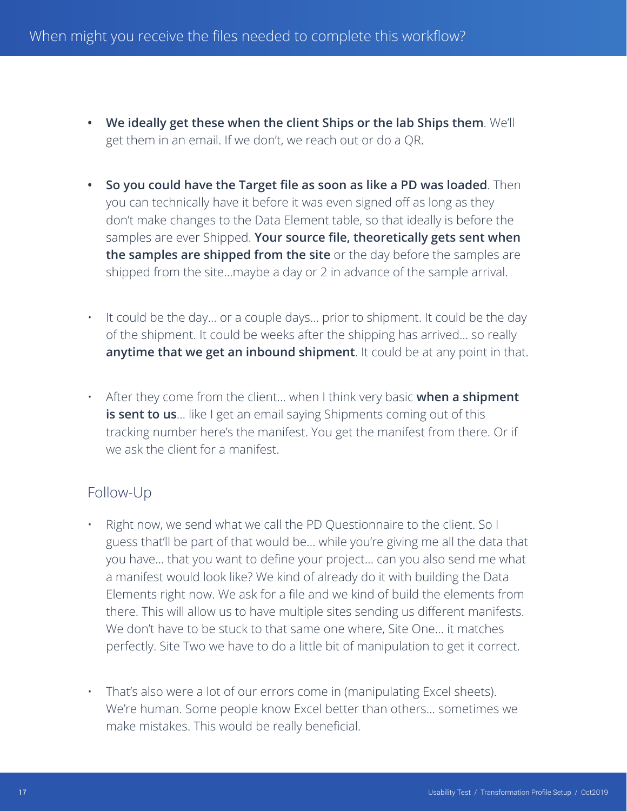- **• We ideally get these when the client Ships or the lab Ships them**. We'll get them in an email. If we don't, we reach out or do a QR.
- **• So you could have the Target file as soon as like a PD was loaded**. Then you can technically have it before it was even signed off as long as they don't make changes to the Data Element table, so that ideally is before the samples are ever Shipped. **Your source file, theoretically gets sent when the samples are shipped from the site** or the day before the samples are shipped from the site…maybe a day or 2 in advance of the sample arrival.
- It could be the day… or a couple days… prior to shipment. It could be the day of the shipment. It could be weeks after the shipping has arrived… so really **anytime that we get an inbound shipment**. It could be at any point in that.
- After they come from the client… when I think very basic **when a shipment is sent to us**... like I get an email saying Shipments coming out of this tracking number here's the manifest. You get the manifest from there. Or if we ask the client for a manifest.

- Right now, we send what we call the PD Questionnaire to the client. So I guess that'll be part of that would be… while you're giving me all the data that you have… that you want to define your project… can you also send me what a manifest would look like? We kind of already do it with building the Data Elements right now. We ask for a file and we kind of build the elements from there. This will allow us to have multiple sites sending us different manifests. We don't have to be stuck to that same one where, Site One… it matches perfectly. Site Two we have to do a little bit of manipulation to get it correct.
- That's also were a lot of our errors come in (manipulating Excel sheets). We're human. Some people know Excel better than others… sometimes we make mistakes. This would be really beneficial.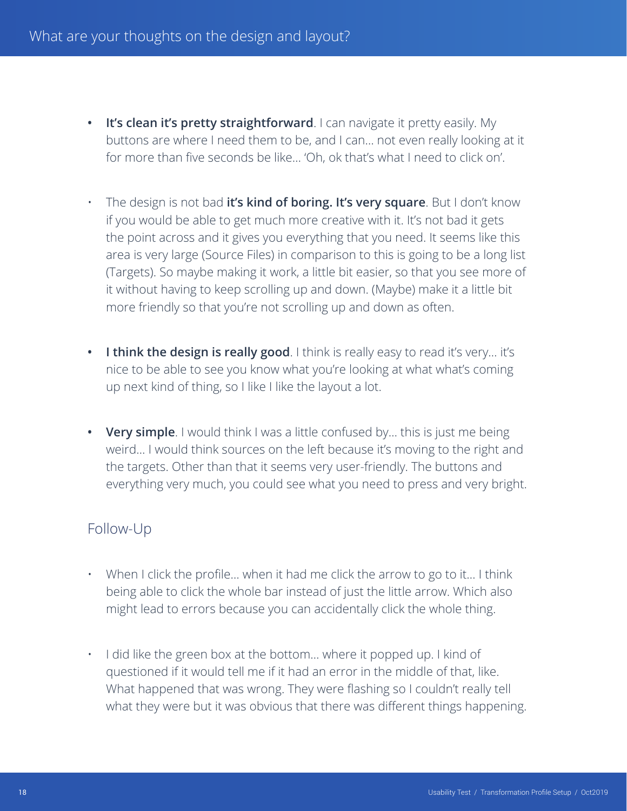- **• It's clean it's pretty straightforward**. I can navigate it pretty easily. My buttons are where I need them to be, and I can… not even really looking at it for more than five seconds be like… 'Oh, ok that's what I need to click on'.
- The design is not bad **it's kind of boring. It's very square**. But I don't know if you would be able to get much more creative with it. It's not bad it gets the point across and it gives you everything that you need. It seems like this area is very large (Source Files) in comparison to this is going to be a long list (Targets). So maybe making it work, a little bit easier, so that you see more of it without having to keep scrolling up and down. (Maybe) make it a little bit more friendly so that you're not scrolling up and down as often.
- I think the design is really good. I think is really easy to read it's very... it's nice to be able to see you know what you're looking at what what's coming up next kind of thing, so I like I like the layout a lot.
- **• Very simple**. I would think I was a little confused by… this is just me being weird… I would think sources on the left because it's moving to the right and the targets. Other than that it seems very user-friendly. The buttons and everything very much, you could see what you need to press and very bright.

- When I click the profile... when it had me click the arrow to go to it... I think being able to click the whole bar instead of just the little arrow. Which also might lead to errors because you can accidentally click the whole thing.
- I did like the green box at the bottom… where it popped up. I kind of questioned if it would tell me if it had an error in the middle of that, like. What happened that was wrong. They were flashing so I couldn't really tell what they were but it was obvious that there was different things happening.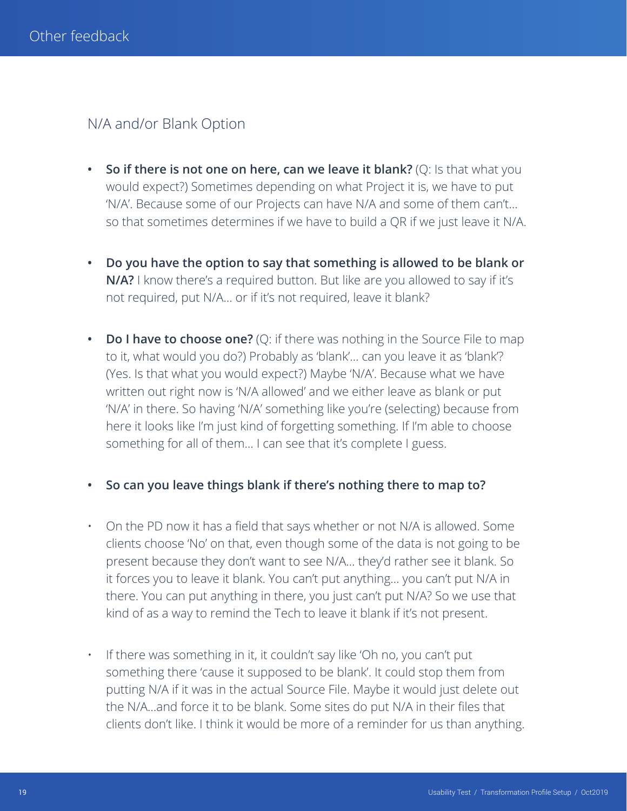## N/A and/or Blank Option

- **• So if there is not one on here, can we leave it blank?** (Q: Is that what you would expect?) Sometimes depending on what Project it is, we have to put 'N/A'. Because some of our Projects can have N/A and some of them can't… so that sometimes determines if we have to build a QR if we just leave it N/A.
- **• Do you have the option to say that something is allowed to be blank or N/A?** I know there's a required button. But like are you allowed to say if it's not required, put N/A… or if it's not required, leave it blank?
- **• Do I have to choose one?** (Q: if there was nothing in the Source File to map to it, what would you do?) Probably as 'blank'… can you leave it as 'blank'? (Yes. Is that what you would expect?) Maybe 'N/A'. Because what we have written out right now is 'N/A allowed' and we either leave as blank or put 'N/A' in there. So having 'N/A' something like you're (selecting) because from here it looks like I'm just kind of forgetting something. If I'm able to choose something for all of them… I can see that it's complete I guess.
- **• So can you leave things blank if there's nothing there to map to?**
- On the PD now it has a field that says whether or not N/A is allowed. Some clients choose 'No' on that, even though some of the data is not going to be present because they don't want to see N/A… they'd rather see it blank. So it forces you to leave it blank. You can't put anything… you can't put N/A in there. You can put anything in there, you just can't put N/A? So we use that kind of as a way to remind the Tech to leave it blank if it's not present.
- If there was something in it, it couldn't say like 'Oh no, you can't put something there 'cause it supposed to be blank'. It could stop them from putting N/A if it was in the actual Source File. Maybe it would just delete out the N/A…and force it to be blank. Some sites do put N/A in their files that clients don't like. I think it would be more of a reminder for us than anything.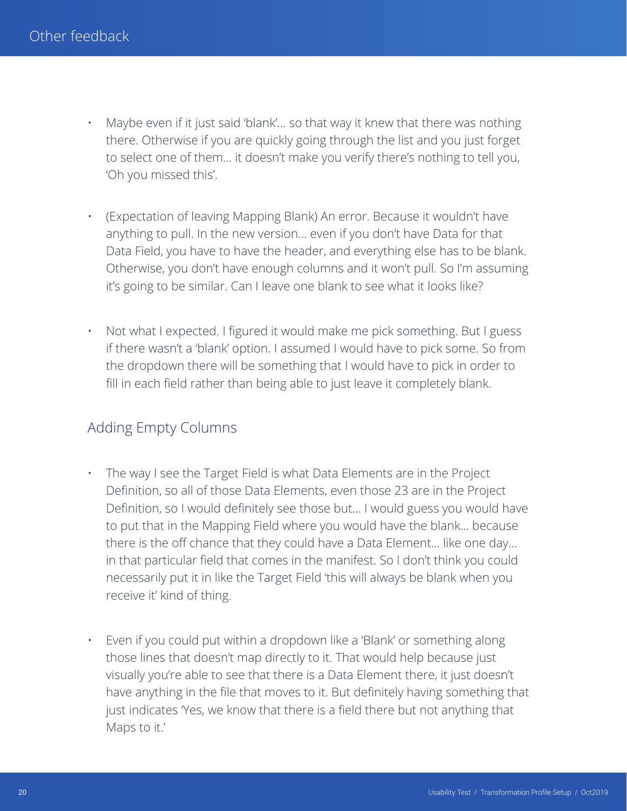- Maybe even if it just said 'blank'... so that way it knew that there was nothing there. Otherwise if you are quickly going through the list and you just forget to select one of them… it doesn't make you verify there's nothing to tell you, 'Oh you missed this'.
- (Expectation of leaving Mapping Blank) An error. Because it wouldn't have anything to pull. In the new version… even if you don't have Data for that Data Field, you have to have the header, and everything else has to be blank. Otherwise, you don't have enough columns and it won't pull. So I'm assuming it's going to be similar. Can I leave one blank to see what it looks like?
- Not what I expected. I figured it would make me pick something. But I guess if there wasn't a 'blank' option. I assumed I would have to pick some. So from the dropdown there will be something that I would have to pick in order to fill in each field rather than being able to just leave it completely blank.

# Adding Empty Columns

- The way I see the Target Field is what Data Elements are in the Project Definition, so all of those Data Elements, even those 23 are in the Project Definition, so I would definitely see those but… I would guess you would have to put that in the Mapping Field where you would have the blank… because there is the off chance that they could have a Data Element… like one day… in that particular field that comes in the manifest. So I don't think you could necessarily put it in like the Target Field 'this will always be blank when you receive it' kind of thing.
- Even if you could put within a dropdown like a 'Blank' or something along those lines that doesn't map directly to it. That would help because just visually you're able to see that there is a Data Element there, it just doesn't have anything in the file that moves to it. But definitely having something that just indicates 'Yes, we know that there is a field there but not anything that Maps to it.'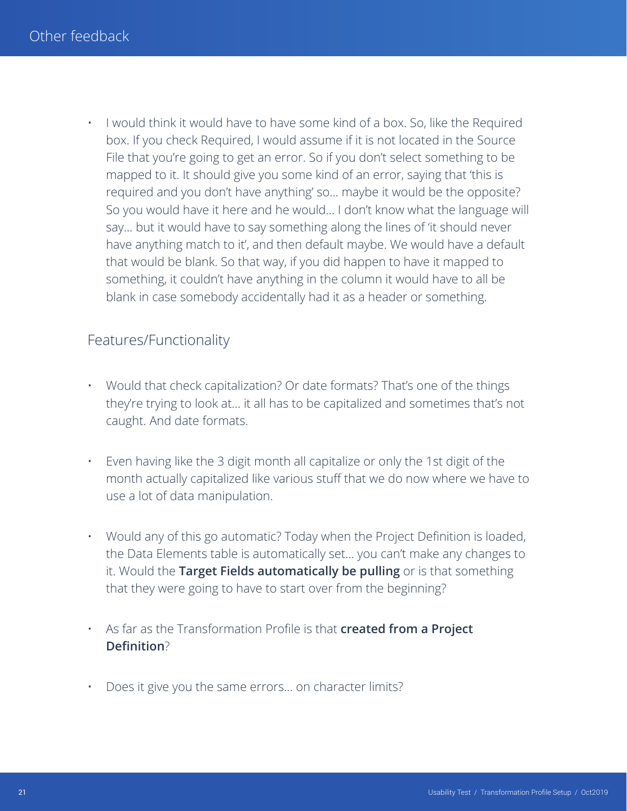• I would think it would have to have some kind of a box. So, like the Required box. If you check Required, I would assume if it is not located in the Source File that you're going to get an error. So if you don't select something to be mapped to it. It should give you some kind of an error, saying that 'this is required and you don't have anything' so… maybe it would be the opposite? So you would have it here and he would… I don't know what the language will say… but it would have to say something along the lines of 'it should never have anything match to it', and then default maybe. We would have a default that would be blank. So that way, if you did happen to have it mapped to something, it couldn't have anything in the column it would have to all be blank in case somebody accidentally had it as a header or something.

# Features/Functionality

- Would that check capitalization? Or date formats? That's one of the things they're trying to look at… it all has to be capitalized and sometimes that's not caught. And date formats.
- Even having like the 3 digit month all capitalize or only the 1st digit of the month actually capitalized like various stuff that we do now where we have to use a lot of data manipulation.
- Would any of this go automatic? Today when the Project Definition is loaded, the Data Elements table is automatically set… you can't make any changes to it. Would the **Target Fields automatically be pulling** or is that something that they were going to have to start over from the beginning?
- As far as the Transformation Profile is that **created from a Project Definition**?
- Does it give you the same errors… on character limits?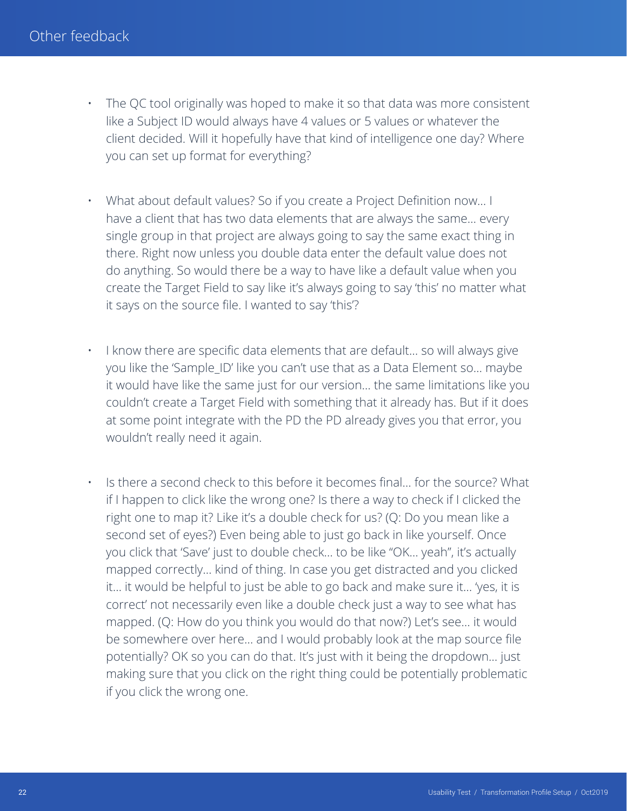- The QC tool originally was hoped to make it so that data was more consistent like a Subject ID would always have 4 values or 5 values or whatever the client decided. Will it hopefully have that kind of intelligence one day? Where you can set up format for everything?
- What about default values? So if you create a Project Definition now… I have a client that has two data elements that are always the same… every single group in that project are always going to say the same exact thing in there. Right now unless you double data enter the default value does not do anything. So would there be a way to have like a default value when you create the Target Field to say like it's always going to say 'this' no matter what it says on the source file. I wanted to say 'this'?
- I know there are specific data elements that are default... so will always give you like the 'Sample\_ID' like you can't use that as a Data Element so… maybe it would have like the same just for our version… the same limitations like you couldn't create a Target Field with something that it already has. But if it does at some point integrate with the PD the PD already gives you that error, you wouldn't really need it again.
- Is there a second check to this before it becomes final… for the source? What if I happen to click like the wrong one? Is there a way to check if I clicked the right one to map it? Like it's a double check for us? (Q: Do you mean like a second set of eyes?) Even being able to just go back in like yourself. Once you click that 'Save' just to double check… to be like "OK… yeah", it's actually mapped correctly… kind of thing. In case you get distracted and you clicked it… it would be helpful to just be able to go back and make sure it… 'yes, it is correct' not necessarily even like a double check just a way to see what has mapped. (Q: How do you think you would do that now?) Let's see… it would be somewhere over here… and I would probably look at the map source file potentially? OK so you can do that. It's just with it being the dropdown… just making sure that you click on the right thing could be potentially problematic if you click the wrong one.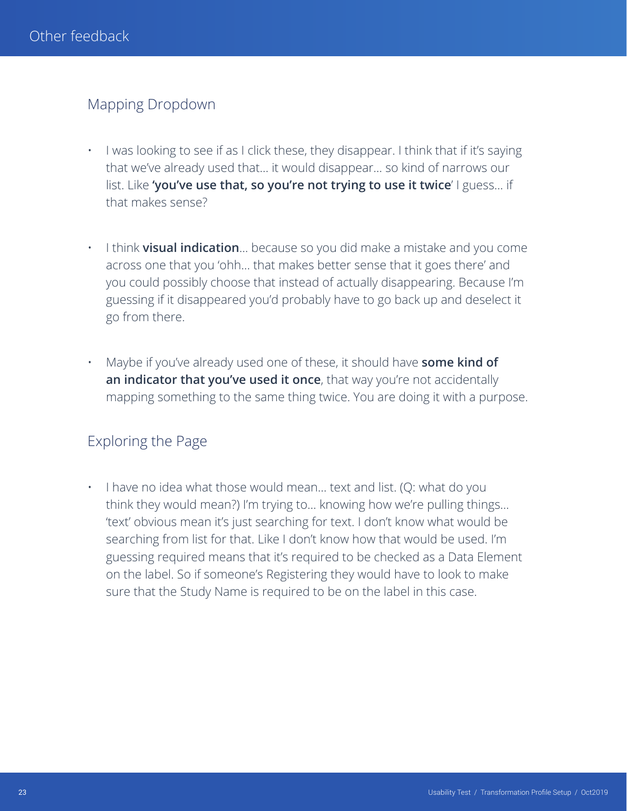# Mapping Dropdown

- I was looking to see if as I click these, they disappear. I think that if it's saying that we've already used that… it would disappear… so kind of narrows our list. Like **'you've use that, so you're not trying to use it twice**' I guess… if that makes sense?
- I think **visual indication**… because so you did make a mistake and you come across one that you 'ohh… that makes better sense that it goes there' and you could possibly choose that instead of actually disappearing. Because I'm guessing if it disappeared you'd probably have to go back up and deselect it go from there.
- Maybe if you've already used one of these, it should have **some kind of an indicator that you've used it once**, that way you're not accidentally mapping something to the same thing twice. You are doing it with a purpose.

# Exploring the Page

• I have no idea what those would mean… text and list. (Q: what do you think they would mean?) I'm trying to… knowing how we're pulling things… 'text' obvious mean it's just searching for text. I don't know what would be searching from list for that. Like I don't know how that would be used. I'm guessing required means that it's required to be checked as a Data Element on the label. So if someone's Registering they would have to look to make sure that the Study Name is required to be on the label in this case.